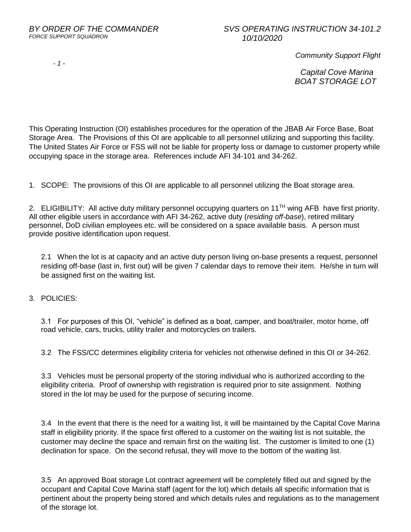## *BY ORDER OF THE COMMANDER SVS OPERATING INSTRUCTION 34-101.2*

*- 1 -*

 *Community Support Flight*

 *Capital Cove Marina BOAT STORAGE LOT*

This Operating Instruction (OI) establishes procedures for the operation of the JBAB Air Force Base, Boat Storage Area. The Provisions of this OI are applicable to all personnel utilizing and supporting this facility. The United States Air Force or FSS will not be liable for property loss or damage to customer property while occupying space in the storage area. References include AFI 34-101 and 34-262.

1. SCOPE: The provisions of this OI are applicable to all personnel utilizing the Boat storage area.

2. ELIGIBILITY: All active duty military personnel occupying quarters on 11<sup>TH</sup> wing AFB have first priority. All other eligible users in accordance with AFI 34-262, active duty (*residing off-base*), retired military personnel, DoD civilian employees etc. will be considered on a space available basis. A person must provide positive identification upon request.

2.1 When the lot is at capacity and an active duty person living on-base presents a request, personnel residing off-base (last in, first out) will be given 7 calendar days to remove their item. He/she in turn will be assigned first on the waiting list.

3. POLICIES:

3.1 For purposes of this OI, "vehicle" is defined as a boat, camper, and boat/trailer, motor home, off road vehicle, cars, trucks, utility trailer and motorcycles on trailers.

3.2 The FSS/CC determines eligibility criteria for vehicles not otherwise defined in this OI or 34-262.

3.3 Vehicles must be personal property of the storing individual who is authorized according to the eligibility criteria. Proof of ownership with registration is required prior to site assignment. Nothing stored in the lot may be used for the purpose of securing income.

3.4 In the event that there is the need for a waiting list, it will be maintained by the Capital Cove Marina staff in eligibility priority. If the space first offered to a customer on the waiting list is not suitable, the customer may decline the space and remain first on the waiting list. The customer is limited to one (1) declination for space. On the second refusal, they will move to the bottom of the waiting list.

3.5 An approved Boat storage Lot contract agreement will be completely filled out and signed by the occupant and Capital Cove Marina staff (agent for the lot) which details all specific information that is pertinent about the property being stored and which details rules and regulations as to the management of the storage lot.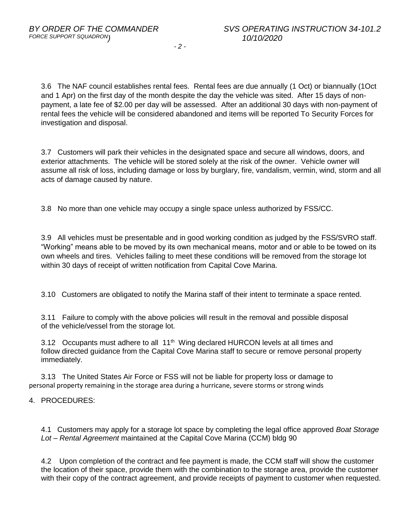*- 2 -*

3.6 The NAF council establishes rental fees. Rental fees are due annually (1 Oct) or biannually (1Oct and 1 Apr) on the first day of the month despite the day the vehicle was sited. After 15 days of nonpayment, a late fee of \$2.00 per day will be assessed. After an additional 30 days with non-payment of rental fees the vehicle will be considered abandoned and items will be reported To Security Forces for investigation and disposal.

3.7 Customers will park their vehicles in the designated space and secure all windows, doors, and exterior attachments. The vehicle will be stored solely at the risk of the owner. Vehicle owner will assume all risk of loss, including damage or loss by burglary, fire, vandalism, vermin, wind, storm and all acts of damage caused by nature.

3.8 No more than one vehicle may occupy a single space unless authorized by FSS/CC.

3.9 All vehicles must be presentable and in good working condition as judged by the FSS/SVRO staff. "Working" means able to be moved by its own mechanical means, motor and or able to be towed on its own wheels and tires. Vehicles failing to meet these conditions will be removed from the storage lot within 30 days of receipt of written notification from Capital Cove Marina.

3.10 Customers are obligated to notify the Marina staff of their intent to terminate a space rented.

3.11 Failure to comply with the above policies will result in the removal and possible disposal of the vehicle/vessel from the storage lot.

3.12 Occupants must adhere to all 11<sup>th</sup> Wing declared HURCON levels at all times and follow directed guidance from the Capital Cove Marina staff to secure or remove personal property immediately.

3.13 The United States Air Force or FSS will not be liable for property loss or damage to personal property remaining in the storage area during a hurricane, severe storms or strong winds

4. PROCEDURES:

4.1 Customers may apply for a storage lot space by completing the legal office approved *Boat Storage Lot – Rental Agreement* maintained at the Capital Cove Marina (CCM) bldg 90

4.2 Upon completion of the contract and fee payment is made, the CCM staff will show the customer the location of their space, provide them with the combination to the storage area, provide the customer with their copy of the contract agreement, and provide receipts of payment to customer when requested.